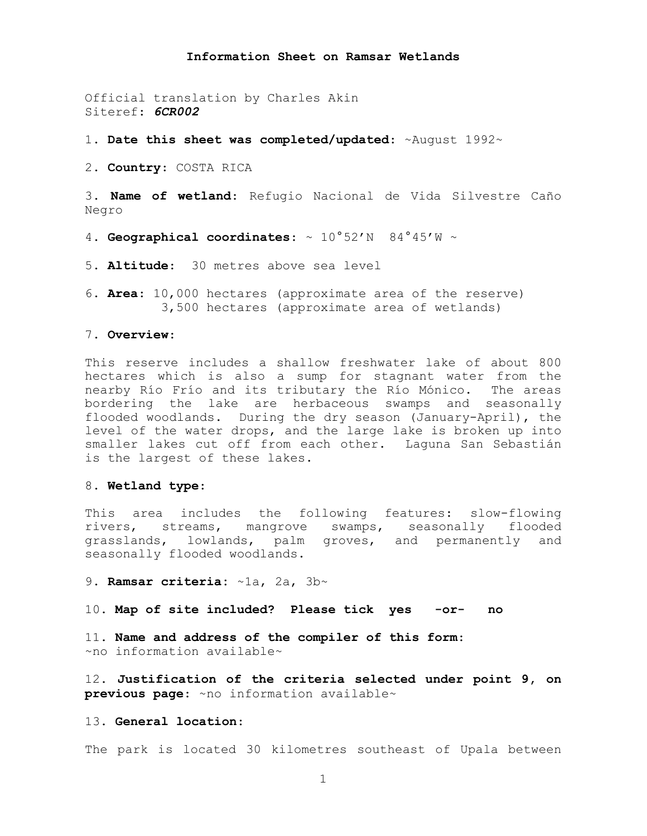#### **Information Sheet on Ramsar Wetlands**

Official translation by Charles Akin Siteref: *6CR002*

1. **Date this sheet was completed/updated**: ~August 1992~

2. **Country**: COSTA RICA

3. **Name of wetland**: Refugio Nacional de Vida Silvestre Caño Negro

4. **Geographical coordinates**: ~ 10°52'N 84°45'W ~

5. **Altitude**: 30 metres above sea level

6. **Area**: 10,000 hectares (approximate area of the reserve) 3,500 hectares (approximate area of wetlands)

### 7. **Overview**:

This reserve includes a shallow freshwater lake of about 800 hectares which is also a sump for stagnant water from the nearby Río Frío and its tributary the Río Mónico. The areas bordering the lake are herbaceous swamps and seasonally flooded woodlands. During the dry season (January-April), the level of the water drops, and the large lake is broken up into smaller lakes cut off from each other. Laguna San Sebastián is the largest of these lakes.

## 8. **Wetland type**:

This area includes the following features: slow-flowing rivers, streams, mangrove swamps, seasonally flooded grasslands, lowlands, palm groves, and permanently and seasonally flooded woodlands.

9. **Ramsar criteria:** ~1a, 2a, 3b~

10. **Map of site included? Please tick yes -or- no**

11. **Name and address of the compiler of this form**: ~no information available~

12. **Justification of the criteria selected under point 9, on previous page**: ~no information available~

# 13. **General location**:

The park is located 30 kilometres southeast of Upala between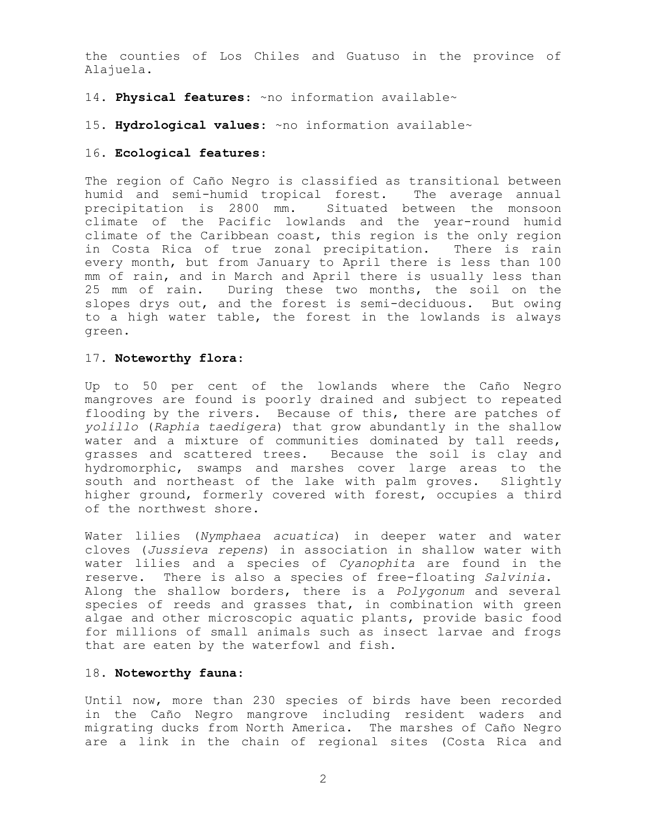the counties of Los Chiles and Guatuso in the province of Alajuela.

# 14. **Physical features**: ~no information available~

### 15. **Hydrological values**: ~no information available~

### 16. **Ecological features**:

The region of Caño Negro is classified as transitional between humid and semi-humid tropical forest. The average annual precipitation is 2800 mm. Situated between the monsoon climate of the Pacific lowlands and the year-round humid climate of the Caribbean coast, this region is the only region in Costa Rica of true zonal precipitation. There is rain every month, but from January to April there is less than 100 mm of rain, and in March and April there is usually less than 25 mm of rain. During these two months, the soil on the slopes drys out, and the forest is semi-deciduous. But owing to a high water table, the forest in the lowlands is always green.

## 17. **Noteworthy flora**:

Up to 50 per cent of the lowlands where the Caño Negro mangroves are found is poorly drained and subject to repeated flooding by the rivers. Because of this, there are patches of *yolillo* (*Raphia taedigera*) that grow abundantly in the shallow water and a mixture of communities dominated by tall reeds, grasses and scattered trees. Because the soil is clay and hydromorphic, swamps and marshes cover large areas to the south and northeast of the lake with palm groves. Slightly higher ground, formerly covered with forest, occupies a third of the northwest shore.

Water lilies (*Nymphaea acuatica*) in deeper water and water cloves (*Jussieva repens*) in association in shallow water with water lilies and a species of *Cyanophita* are found in the reserve. There is also a species of free-floating *Salvinia*. Along the shallow borders, there is a *Polygonum* and several species of reeds and grasses that, in combination with green algae and other microscopic aquatic plants, provide basic food for millions of small animals such as insect larvae and frogs that are eaten by the waterfowl and fish.

# 18. **Noteworthy fauna**:

Until now, more than 230 species of birds have been recorded in the Caño Negro mangrove including resident waders and migrating ducks from North America. The marshes of Caño Negro are a link in the chain of regional sites (Costa Rica and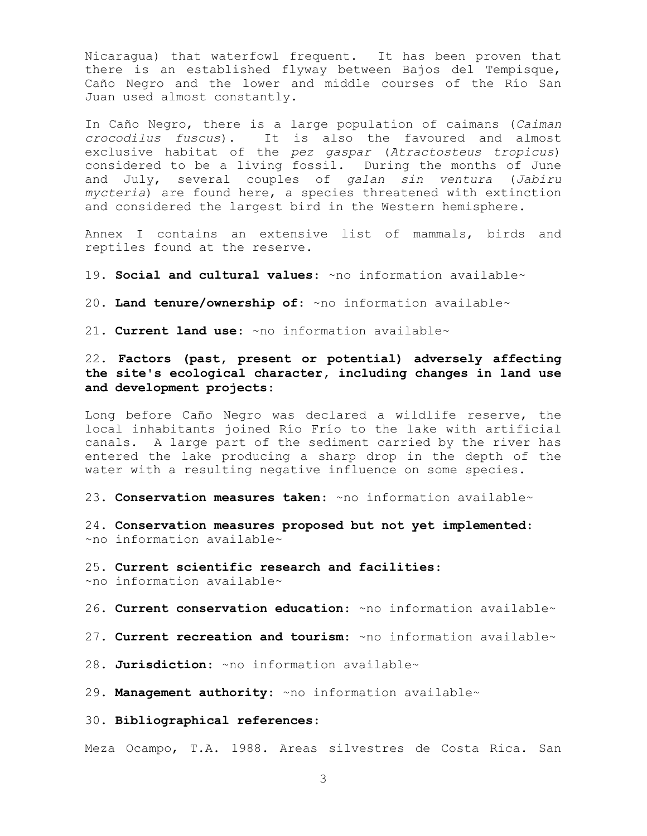Nicaragua) that waterfowl frequent. It has been proven that there is an established flyway between Bajos del Tempisque, Caño Negro and the lower and middle courses of the Río San Juan used almost constantly.

In Caño Negro, there is a large population of caimans (*Caiman crocodilus fuscus*). It is also the favoured and almost exclusive habitat of the *pez gaspar* (*Atractosteus tropicus*) considered to be a living fossil. During the months of June and July, several couples of *galan sin ventura* (*Jabiru mycteria*) are found here, a species threatened with extinction and considered the largest bird in the Western hemisphere.

Annex I contains an extensive list of mammals, birds and reptiles found at the reserve.

19. **Social and cultural values**: ~no information available~

20. **Land tenure/ownership of**: ~no information available~

21. **Current land use**: ~no information available~

22. **Factors (past, present or potential) adversely affecting the site's ecological character, including changes in land use and development projects**:

Long before Caño Negro was declared a wildlife reserve, the local inhabitants joined Río Frío to the lake with artificial canals. A large part of the sediment carried by the river has entered the lake producing a sharp drop in the depth of the water with a resulting negative influence on some species.

23. **Conservation measures taken**: ~no information available~

24. **Conservation measures proposed but not yet implemented**: ~no information available~

25. **Current scientific research and facilities**: ~no information available~

26. **Current conservation education**: ~no information available~

27. **Current recreation and tourism**: ~no information available~

28. **Jurisdiction**: ~no information available~

29. **Management authority**: ~no information available~

30. **Bibliographical references**:

Meza Ocampo, T.A. 1988. Areas silvestres de Costa Rica. San